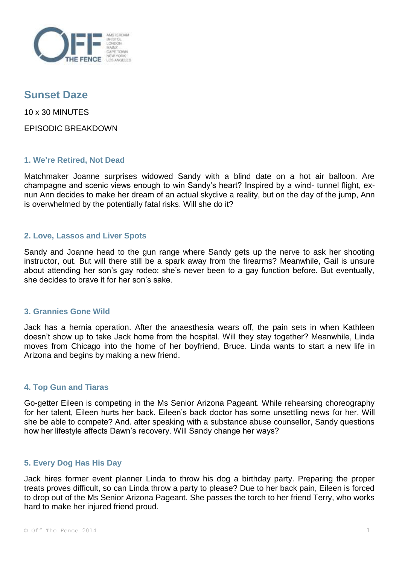

# **Sunset Daze**

10 x 30 MINUTES

EPISODIC BREAKDOWN

# **1. We're Retired, Not Dead**

Matchmaker Joanne surprises widowed Sandy with a blind date on a hot air balloon. Are champagne and scenic views enough to win Sandy's heart? Inspired by a wind- tunnel flight, exnun Ann decides to make her dream of an actual skydive a reality, but on the day of the jump, Ann is overwhelmed by the potentially fatal risks. Will she do it?

# **2. Love, Lassos and Liver Spots**

Sandy and Joanne head to the gun range where Sandy gets up the nerve to ask her shooting instructor, out. But will there still be a spark away from the firearms? Meanwhile, Gail is unsure about attending her son's gay rodeo: she's never been to a gay function before. But eventually, she decides to brave it for her son's sake.

# **3. Grannies Gone Wild**

Jack has a hernia operation. After the anaesthesia wears off, the pain sets in when Kathleen doesn't show up to take Jack home from the hospital. Will they stay together? Meanwhile, Linda moves from Chicago into the home of her boyfriend, Bruce. Linda wants to start a new life in Arizona and begins by making a new friend.

# **4. Top Gun and Tiaras**

Go-getter Eileen is competing in the Ms Senior Arizona Pageant. While rehearsing choreography for her talent, Eileen hurts her back. Eileen's back doctor has some unsettling news for her. Will she be able to compete? And. after speaking with a substance abuse counsellor, Sandy questions how her lifestyle affects Dawn's recovery. Will Sandy change her ways?

# **5. Every Dog Has His Day**

Jack hires former event planner Linda to throw his dog a birthday party. Preparing the proper treats proves difficult, so can Linda throw a party to please? Due to her back pain, Eileen is forced to drop out of the Ms Senior Arizona Pageant. She passes the torch to her friend Terry, who works hard to make her injured friend proud.